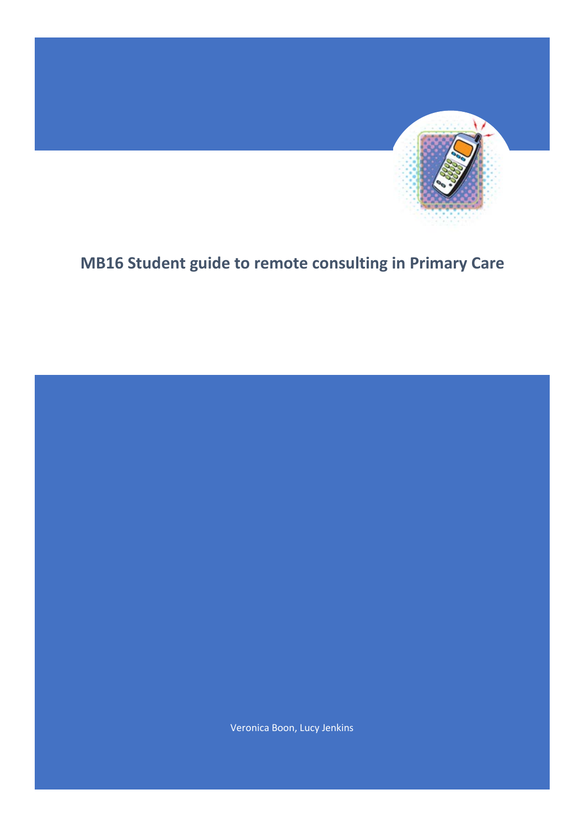

# **MB16 Student guide to remote consulting in Primary Care**

Veronica Boon, Lucy Jenkins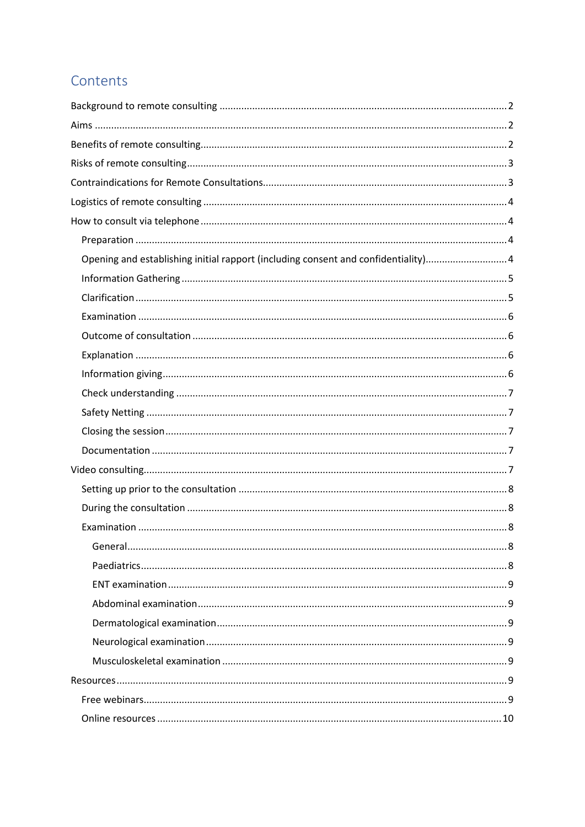## Contents

| Opening and establishing initial rapport (including consent and confidentiality)4 |
|-----------------------------------------------------------------------------------|
|                                                                                   |
|                                                                                   |
|                                                                                   |
|                                                                                   |
|                                                                                   |
|                                                                                   |
|                                                                                   |
|                                                                                   |
|                                                                                   |
|                                                                                   |
|                                                                                   |
|                                                                                   |
|                                                                                   |
|                                                                                   |
|                                                                                   |
|                                                                                   |
|                                                                                   |
|                                                                                   |
|                                                                                   |
|                                                                                   |
|                                                                                   |
|                                                                                   |
|                                                                                   |
|                                                                                   |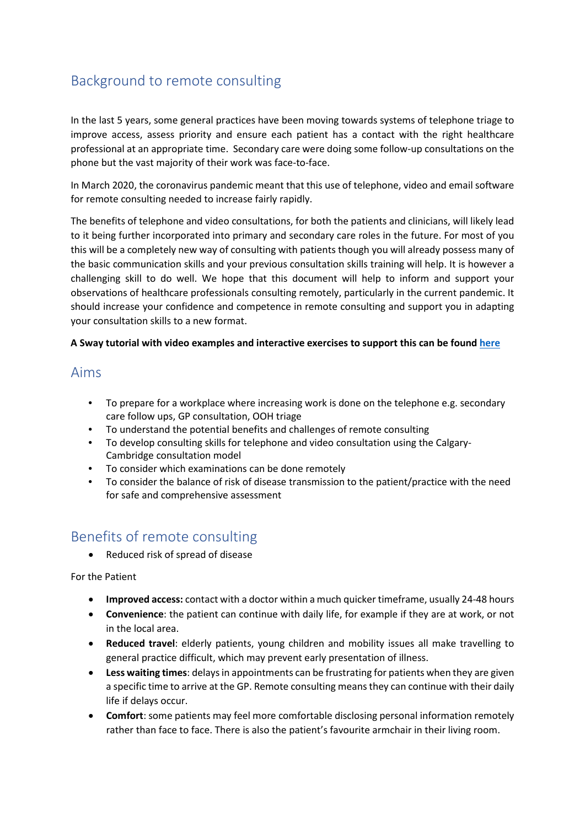## <span id="page-2-0"></span>Background to remote consulting

In the last 5 years, some general practices have been moving towards systems of telephone triage to improve access, assess priority and ensure each patient has a contact with the right healthcare professional at an appropriate time. Secondary care were doing some follow-up consultations on the phone but the vast majority of their work was face-to-face.

In March 2020, the coronavirus pandemic meant that this use of telephone, video and email software for remote consulting needed to increase fairly rapidly.

The benefits of telephone and video consultations, for both the patients and clinicians, will likely lead to it being further incorporated into primary and secondary care roles in the future. For most of you this will be a completely new way of consulting with patients though you will already possess many of the basic communication skills and your previous consultation skills training will help. It is however a challenging skill to do well. We hope that this document will help to inform and support your observations of healthcare professionals consulting remotely, particularly in the current pandemic. It should increase your confidence and competence in remote consulting and support you in adapting your consultation skills to a new format.

#### **A Sway tutorial with video examples and interactive exercises to support this can be found [here](https://sway.office.com/TCNFJHBr9nGqLqrL?ref=Link)**

## <span id="page-2-1"></span>Aims

- To prepare for a workplace where increasing work is done on the telephone e.g. secondary care follow ups, GP consultation, OOH triage
- To understand the potential benefits and challenges of remote consulting
- To develop consulting skills for telephone and video consultation using the Calgary-Cambridge consultation model
- To consider which examinations can be done remotely
- To consider the balance of risk of disease transmission to the patient/practice with the need for safe and comprehensive assessment

## <span id="page-2-2"></span>Benefits of remote consulting

• Reduced risk of spread of disease

For the Patient

- **Improved access:** contact with a doctor within a much quicker timeframe, usually 24-48 hours
- **Convenience**: the patient can continue with daily life, for example if they are at work, or not in the local area.
- **Reduced travel**: elderly patients, young children and mobility issues all make travelling to general practice difficult, which may prevent early presentation of illness.
- **Less waiting times**: delays in appointments can be frustrating for patients when they are given a specific time to arrive at the GP. Remote consulting means they can continue with their daily life if delays occur.
- **Comfort**: some patients may feel more comfortable disclosing personal information remotely rather than face to face. There is also the patient's favourite armchair in their living room.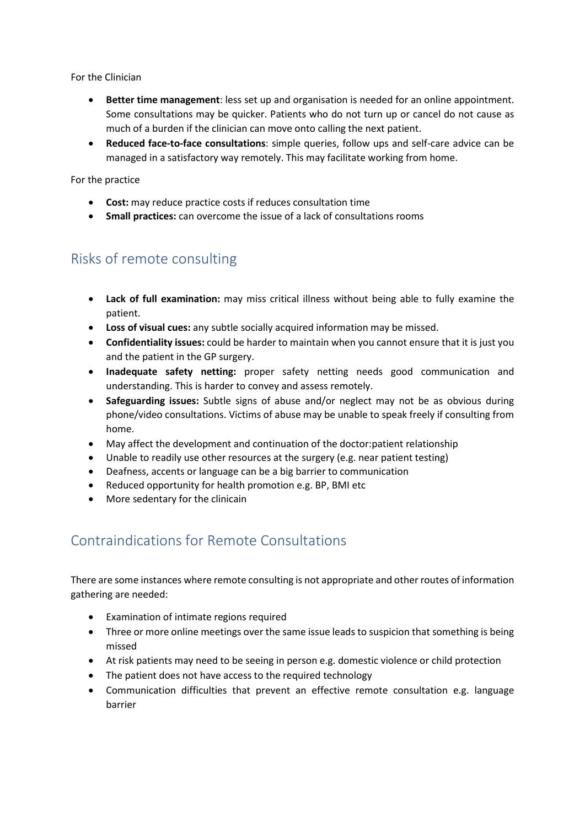For the Clinician

- **Better time management**: less set up and organisation is needed for an online appointment. Some consultations may be quicker. Patients who do not turn up or cancel do not cause as much of a burden if the clinician can move onto calling the next patient.
- **Reduced face-to-face consultations**: simple queries, follow ups and self-care advice can be managed in a satisfactory way remotely. This may facilitate working from home.

For the practice

- **Cost:** may reduce practice costs if reduces consultation time
- **Small practices:** can overcome the issue of a lack of consultations rooms

## <span id="page-3-0"></span>Risks of remote consulting

- **Lack of full examination:** may miss critical illness without being able to fully examine the patient.
- **Loss of visual cues:** any subtle socially acquired information may be missed.
- **Confidentiality issues:** could be harder to maintain when you cannot ensure that it is just you and the patient in the GP surgery.
- **Inadequate safety netting:** proper safety netting needs good communication and understanding. This is harder to convey and assess remotely.
- **Safeguarding issues:** Subtle signs of abuse and/or neglect may not be as obvious during phone/video consultations. Victims of abuse may be unable to speak freely if consulting from home.
- May affect the development and continuation of the doctor:patient relationship
- Unable to readily use other resources at the surgery (e.g. near patient testing)
- Deafness, accents or language can be a big barrier to communication
- Reduced opportunity for health promotion e.g. BP, BMI etc
- More sedentary for the clinicain

## <span id="page-3-1"></span>Contraindications for Remote Consultations

There are some instances where remote consulting is not appropriate and other routes of information gathering are needed:

- Examination of intimate regions required
- Three or more online meetings over the same issue leads to suspicion that something is being missed
- At risk patients may need to be seeing in person e.g. domestic violence or child protection
- The patient does not have access to the required technology
- Communication difficulties that prevent an effective remote consultation e.g. language barrier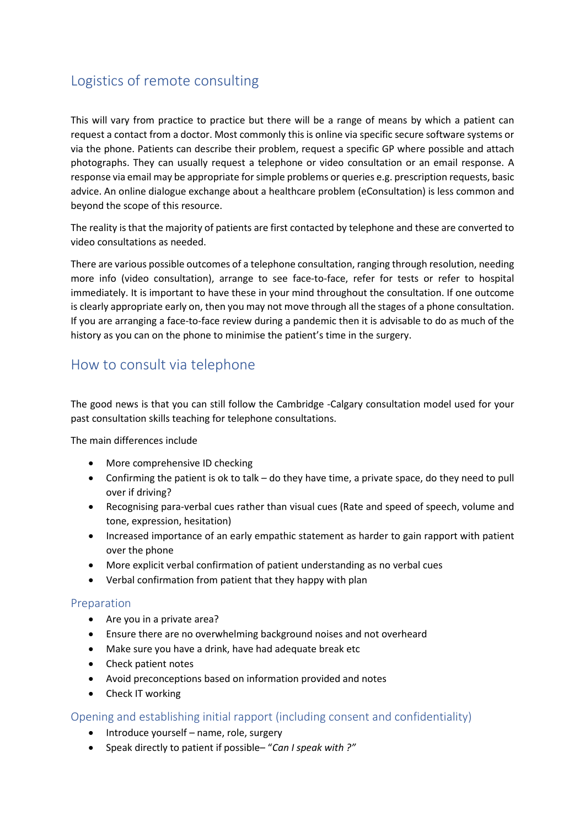## <span id="page-4-0"></span>Logistics of remote consulting

This will vary from practice to practice but there will be a range of means by which a patient can request a contact from a doctor. Most commonly this is online via specific secure software systems or via the phone. Patients can describe their problem, request a specific GP where possible and attach photographs. They can usually request a telephone or video consultation or an email response. A response via email may be appropriate for simple problems or queries e.g. prescription requests, basic advice. An online dialogue exchange about a healthcare problem (eConsultation) is less common and beyond the scope of this resource.

The reality is that the majority of patients are first contacted by telephone and these are converted to video consultations as needed.

There are various possible outcomes of a telephone consultation, ranging through resolution, needing more info (video consultation), arrange to see face-to-face, refer for tests or refer to hospital immediately. It is important to have these in your mind throughout the consultation. If one outcome is clearly appropriate early on, then you may not move through all the stages of a phone consultation. If you are arranging a face-to-face review during a pandemic then it is advisable to do as much of the history as you can on the phone to minimise the patient's time in the surgery.

## <span id="page-4-1"></span>How to consult via telephone

The good news is that you can still follow the Cambridge -Calgary consultation model used for your past consultation skills teaching for telephone consultations.

The main differences include

- More comprehensive ID checking
- Confirming the patient is ok to talk do they have time, a private space, do they need to pull over if driving?
- Recognising para-verbal cues rather than visual cues (Rate and speed of speech, volume and tone, expression, hesitation)
- Increased importance of an early empathic statement as harder to gain rapport with patient over the phone
- More explicit verbal confirmation of patient understanding as no verbal cues
- Verbal confirmation from patient that they happy with plan

#### <span id="page-4-2"></span>Preparation

- Are you in a private area?
- Ensure there are no overwhelming background noises and not overheard
- Make sure you have a drink, have had adequate break etc
- Check patient notes
- Avoid preconceptions based on information provided and notes
- Check IT working

<span id="page-4-3"></span>Opening and establishing initial rapport (including consent and confidentiality)

- Introduce yourself name, role, surgery
- Speak directly to patient if possible– "*Can I speak with ?"*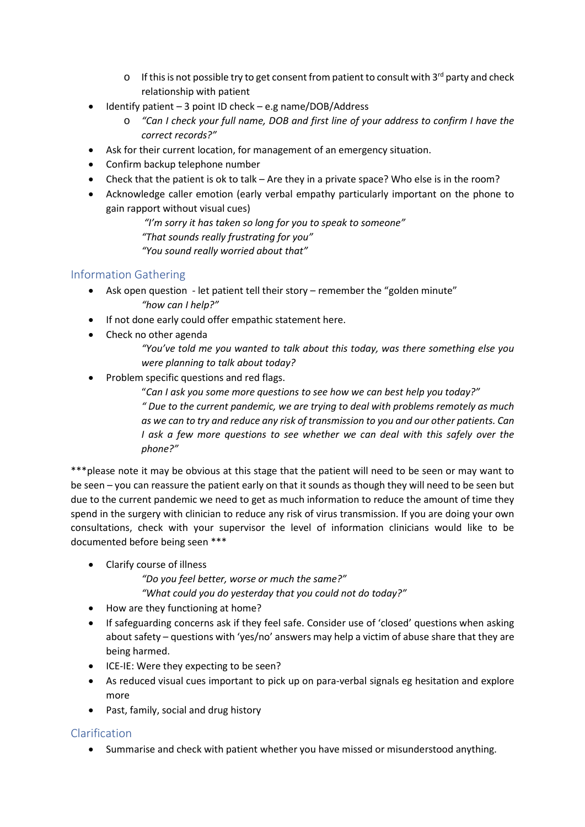- $\circ$  If this is not possible try to get consent from patient to consult with 3<sup>rd</sup> party and check relationship with patient
- Identify patient 3 point ID check e.g name/DOB/Address
	- o *"Can I check your full name, DOB and first line of your address to confirm I have the correct records?"*
- Ask for their current location, for management of an emergency situation.
- Confirm backup telephone number
- Check that the patient is ok to talk Are they in a private space? Who else is in the room?
- Acknowledge caller emotion (early verbal empathy particularly important on the phone to gain rapport without visual cues)

*"I'm sorry it has taken so long for you to speak to someone"*

*"That sounds really frustrating for you"*

*"You sound really worried about that"*

### <span id="page-5-0"></span>Information Gathering

- Ask open question let patient tell their story remember the "golden minute" *"how can I help?"*
- If not done early could offer empathic statement here.
- Check no other agenda
	- *"You've told me you wanted to talk about this today, was there something else you were planning to talk about today?*
- Problem specific questions and red flags.

"*Can I ask you some more questions to see how we can best help you today?" " Due to the current pandemic, we are trying to deal with problems remotely as much as we can to try and reduce any risk of transmission to you and our other patients. Can I* ask a few more questions to see whether we can deal with this safely over the *phone?"*

\*\*\*please note it may be obvious at this stage that the patient will need to be seen or may want to be seen – you can reassure the patient early on that it sounds as though they will need to be seen but due to the current pandemic we need to get as much information to reduce the amount of time they spend in the surgery with clinician to reduce any risk of virus transmission. If you are doing your own consultations, check with your supervisor the level of information clinicians would like to be documented before being seen \*\*\*

• Clarify course of illness

*"Do you feel better, worse or much the same?" "What could you do yesterday that you could not do today?"*

- How are they functioning at home?
- If safeguarding concerns ask if they feel safe. Consider use of 'closed' questions when asking about safety – questions with 'yes/no' answers may help a victim of abuse share that they are being harmed.
- ICE-IE: Were they expecting to be seen?
- As reduced visual cues important to pick up on para-verbal signals eg hesitation and explore more
- Past, family, social and drug history

## <span id="page-5-1"></span>Clarification

• Summarise and check with patient whether you have missed or misunderstood anything.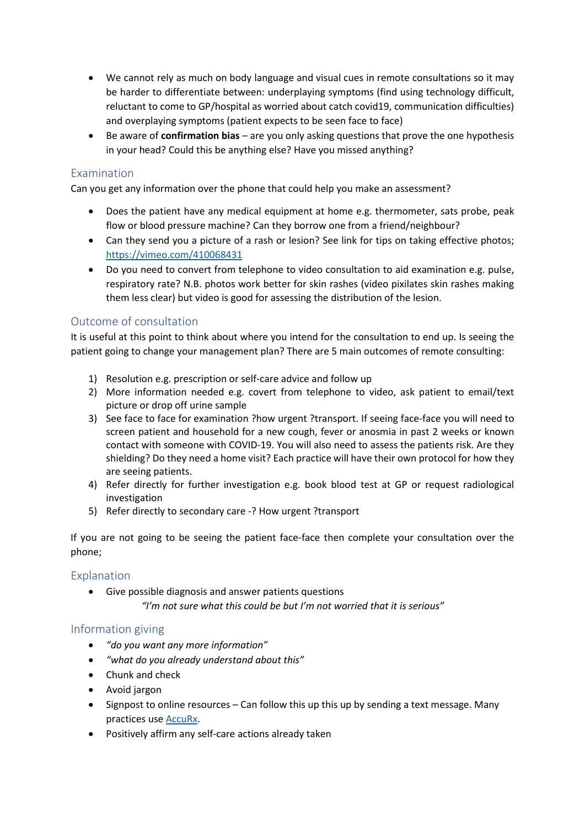- We cannot rely as much on body language and visual cues in remote consultations so it may be harder to differentiate between: underplaying symptoms (find using technology difficult, reluctant to come to GP/hospital as worried about catch covid19, communication difficulties) and overplaying symptoms (patient expects to be seen face to face)
- Be aware of **confirmation bias** are you only asking questions that prove the one hypothesis in your head? Could this be anything else? Have you missed anything?

#### <span id="page-6-0"></span>Examination

Can you get any information over the phone that could help you make an assessment?

- Does the patient have any medical equipment at home e.g. thermometer, sats probe, peak flow or blood pressure machine? Can they borrow one from a friend/neighbour?
- Can they send you a picture of a rash or lesion? See link for tips on taking effective photos; <https://vimeo.com/410068431>
- Do you need to convert from telephone to video consultation to aid examination e.g. pulse, respiratory rate? N.B. photos work better for skin rashes (video pixilates skin rashes making them less clear) but video is good for assessing the distribution of the lesion.

#### <span id="page-6-1"></span>Outcome of consultation

It is useful at this point to think about where you intend for the consultation to end up. Is seeing the patient going to change your management plan? There are 5 main outcomes of remote consulting:

- 1) Resolution e.g. prescription or self-care advice and follow up
- 2) More information needed e.g. covert from telephone to video, ask patient to email/text picture or drop off urine sample
- 3) See face to face for examination ?how urgent ?transport. If seeing face-face you will need to screen patient and household for a new cough, fever or anosmia in past 2 weeks or known contact with someone with COVID-19. You will also need to assess the patients risk. Are they shielding? Do they need a home visit? Each practice will have their own protocol for how they are seeing patients.
- 4) Refer directly for further investigation e.g. book blood test at GP or request radiological investigation
- 5) Refer directly to secondary care -? How urgent ?transport

If you are not going to be seeing the patient face-face then complete your consultation over the phone;

#### <span id="page-6-2"></span>Explanation

• Give possible diagnosis and answer patients questions *"I'm not sure what this could be but I'm not worried that it is serious"*

#### <span id="page-6-3"></span>Information giving

- *"do you want any more information"*
- *"what do you already understand about this"*
- Chunk and check
- Avoid jargon
- Signpost to online resources Can follow this up this up by sending a text message. Many practices us[e AccuRx.](https://www.youtube.com/watch?v=BQ0n7FXU_zM&feature=youtu.be)
- Positively affirm any self-care actions already taken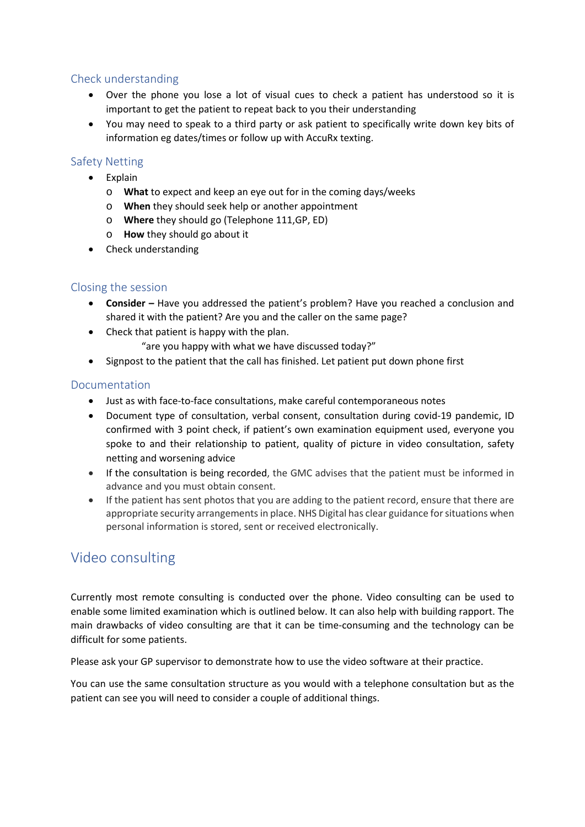### <span id="page-7-0"></span>Check understanding

- Over the phone you lose a lot of visual cues to check a patient has understood so it is important to get the patient to repeat back to you their understanding
- You may need to speak to a third party or ask patient to specifically write down key bits of information eg dates/times or follow up with AccuRx texting.

### <span id="page-7-1"></span>Safety Netting

- Explain
	- o **What** to expect and keep an eye out for in the coming days/weeks
	- o **When** they should seek help or another appointment
	- o **Where** they should go (Telephone 111,GP, ED)
	- o **How** they should go about it
- Check understanding

### <span id="page-7-2"></span>Closing the session

- **Consider –** Have you addressed the patient's problem? Have you reached a conclusion and shared it with the patient? Are you and the caller on the same page?
- Check that patient is happy with the plan. "are you happy with what we have discussed today?"
- Signpost to the patient that the call has finished. Let patient put down phone first

#### <span id="page-7-3"></span>Documentation

- Just as with face-to-face consultations, make careful contemporaneous notes
- Document type of consultation, verbal consent, consultation during covid-19 pandemic, ID confirmed with 3 point check, if patient's own examination equipment used, everyone you spoke to and their relationship to patient, quality of picture in video consultation, safety netting and worsening advice
- If the consultation is being recorded, the GMC advises that the patient must be informed in advance and you must obtain consent.
- If the patient has sent photos that you are adding to the patient record, ensure that there are appropriate security arrangements in place. NHS Digital has clear guidance for situations when personal information is stored, sent or received electronically.

## <span id="page-7-4"></span>Video consulting

Currently most remote consulting is conducted over the phone. Video consulting can be used to enable some limited examination which is outlined below. It can also help with building rapport. The main drawbacks of video consulting are that it can be time-consuming and the technology can be difficult for some patients.

Please ask your GP supervisor to demonstrate how to use the video software at their practice.

You can use the same consultation structure as you would with a telephone consultation but as the patient can see you will need to consider a couple of additional things.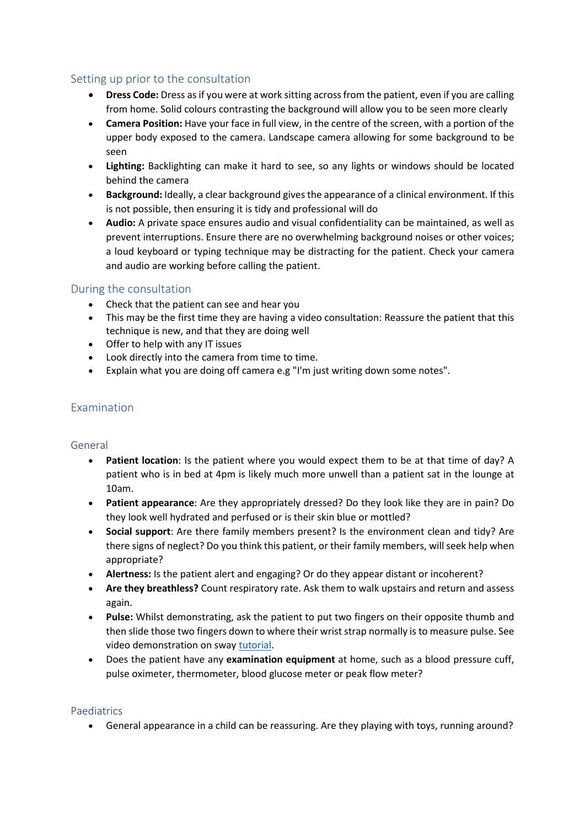### <span id="page-8-0"></span>Setting up prior to the consultation

- **Dress Code:** Dress as if you were at work sitting across from the patient, even if you are calling from home. Solid colours contrasting the background will allow you to be seen more clearly
- **Camera Position:** Have your face in full view, in the centre of the screen, with a portion of the upper body exposed to the camera. Landscape camera allowing for some background to be seen
- **Lighting:** Backlighting can make it hard to see, so any lights or windows should be located behind the camera
- **Background:** Ideally, a clear background gives the appearance of a clinical environment. If this is not possible, then ensuring it is tidy and professional will do
- **Audio:** A private space ensures audio and visual confidentiality can be maintained, as well as prevent interruptions. Ensure there are no overwhelming background noises or other voices; a loud keyboard or typing technique may be distracting for the patient. Check your camera and audio are working before calling the patient.

### <span id="page-8-1"></span>During the consultation

- Check that the patient can see and hear you
- This may be the first time they are having a video consultation: Reassure the patient that this technique is new, and that they are doing well
- Offer to help with any IT issues
- Look directly into the camera from time to time.
- Explain what you are doing off camera e.g "I'm just writing down some notes".

### <span id="page-8-2"></span>Examination

#### <span id="page-8-3"></span>General

- **Patient location**: Is the patient where you would expect them to be at that time of day? A patient who is in bed at 4pm is likely much more unwell than a patient sat in the lounge at 10am.
- **Patient appearance**: Are they appropriately dressed? Do they look like they are in pain? Do they look well hydrated and perfused or is their skin blue or mottled?
- **Social support**: Are there family members present? Is the environment clean and tidy? Are there signs of neglect? Do you think this patient, or their family members, will seek help when appropriate?
- **Alertness:** Is the patient alert and engaging? Or do they appear distant or incoherent?
- **Are they breathless?** Count respiratory rate. Ask them to walk upstairs and return and assess again.
- **Pulse:** Whilst demonstrating, ask the patient to put two fingers on their opposite thumb and then slide those two fingers down to where their wrist strap normally is to measure pulse. See video demonstration on sway [tutorial.](https://sway.office.com/TCNFJHBr9nGqLqrL?ref=email)
- Does the patient have any **examination equipment** at home, such as a blood pressure cuff, pulse oximeter, thermometer, blood glucose meter or peak flow meter?

#### <span id="page-8-4"></span>Paediatrics

• General appearance in a child can be reassuring. Are they playing with toys, running around?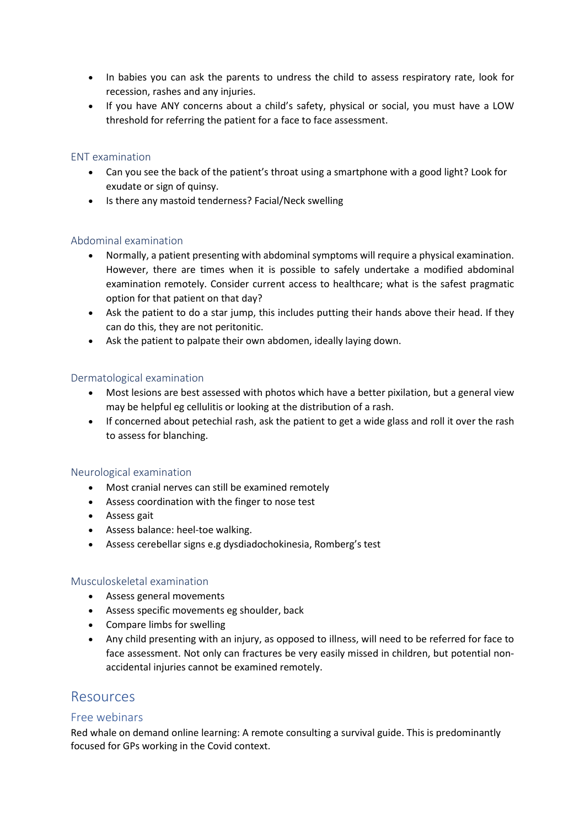- In babies you can ask the parents to undress the child to assess respiratory rate, look for recession, rashes and any injuries.
- If you have ANY concerns about a child's safety, physical or social, you must have a LOW threshold for referring the patient for a face to face assessment.

#### <span id="page-9-0"></span>ENT examination

- Can you see the back of the patient's throat using a smartphone with a good light? Look for exudate or sign of quinsy.
- Is there any mastoid tenderness? Facial/Neck swelling

#### <span id="page-9-1"></span>Abdominal examination

- Normally, a patient presenting with abdominal symptoms will require a physical examination. However, there are times when it is possible to safely undertake a modified abdominal examination remotely. Consider current access to healthcare; what is the safest pragmatic option for that patient on that day?
- Ask the patient to do a star jump, this includes putting their hands above their head. If they can do this, they are not peritonitic.
- Ask the patient to palpate their own abdomen, ideally laying down.

#### <span id="page-9-2"></span>Dermatological examination

- Most lesions are best assessed with photos which have a better pixilation, but a general view may be helpful eg cellulitis or looking at the distribution of a rash.
- If concerned about petechial rash, ask the patient to get a wide glass and roll it over the rash to assess for blanching.

#### <span id="page-9-3"></span>Neurological examination

- Most cranial nerves can still be examined remotely
- Assess coordination with the finger to nose test
- Assess gait
- Assess balance: heel-toe walking.
- Assess cerebellar signs e.g dysdiadochokinesia, Romberg's test

#### <span id="page-9-4"></span>Musculoskeletal examination

- Assess general movements
- Assess specific movements eg shoulder, back
- Compare limbs for swelling
- Any child presenting with an injury, as opposed to illness, will need to be referred for face to face assessment. Not only can fractures be very easily missed in children, but potential nonaccidental injuries cannot be examined remotely.

## <span id="page-9-5"></span>Resources

#### <span id="page-9-6"></span>Free webinars

Red whale on demand online learning: A remote consulting a survival guide. This is predominantly focused for GPs working in the Covid context.